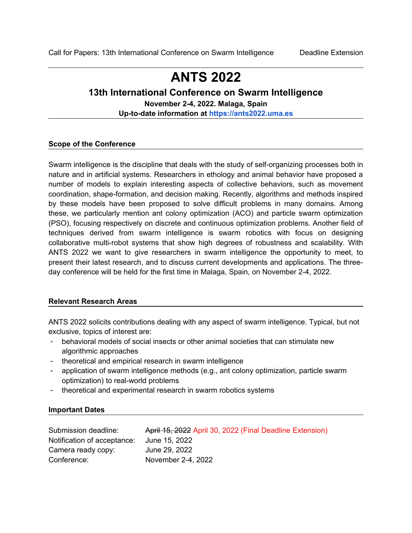# **ANTS 2022**

# **13th International Conference on Swarm Intelligence**

**November 2-4, 2022. Malaga, Spain**

**Up-to-date information at [https://ants2022.uma.es](https://ants2022.uma.es/)**

# **Scope of the Conference**

Swarm intelligence is the discipline that deals with the study of self-organizing processes both in nature and in artificial systems. Researchers in ethology and animal behavior have proposed a number of models to explain interesting aspects of collective behaviors, such as movement coordination, shape-formation, and decision making. Recently, algorithms and methods inspired by these models have been proposed to solve difficult problems in many domains. Among these, we particularly mention ant colony optimization (ACO) and particle swarm optimization (PSO), focusing respectively on discrete and continuous optimization problems. Another field of techniques derived from swarm intelligence is swarm robotics with focus on designing collaborative multi-robot systems that show high degrees of robustness and scalability. With ANTS 2022 we want to give researchers in swarm intelligence the opportunity to meet, to present their latest research, and to discuss current developments and applications. The threeday conference will be held for the first time in Malaga, Spain, on November 2-4, 2022.

# **Relevant Research Areas**

ANTS 2022 solicits contributions dealing with any aspect of swarm intelligence. Typical, but not exclusive, topics of interest are:

- behavioral models of social insects or other animal societies that can stimulate new algorithmic approaches
- theoretical and empirical research in swarm intelligence
- application of swarm intelligence methods (e.g., ant colony optimization, particle swarm optimization) to real-world problems
- theoretical and experimental research in swarm robotics systems

# **Important Dates**

| Submission deadline:        | April 15, 2022 April 30, 2022 (Final Deadline Extension) |
|-----------------------------|----------------------------------------------------------|
| Notification of acceptance: | June 15, 2022                                            |
| Camera ready copy:          | June 29, 2022                                            |
| Conference:                 | November 2-4, 2022                                       |